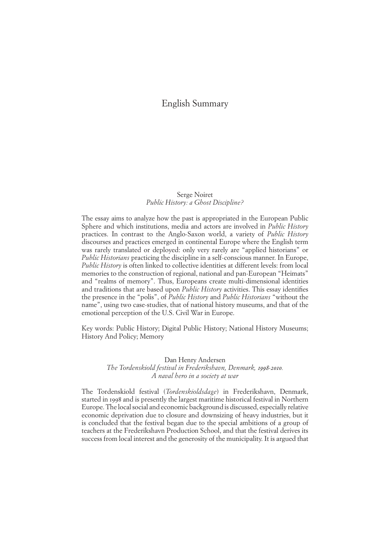# English Summary

# Serge Noiret *Public History: a Ghost Discipline?*

The essay aims to analyze how the past is appropriated in the European Public Sphere and which institutions, media and actors are involved in *Public History* practices. In contrast to the Anglo-Saxon world, a variety of *Public History* discourses and practices emerged in continental Europe where the English term was rarely translated or deployed: only very rarely are "applied historians" or *Public Historians* practicing the discipline in a self-conscious manner. In Europe, *Public History* is often linked to collective identities at different levels: from local memories to the construction of regional, national and pan-European "Heimats" and "realms of memory". Thus, Europeans create multi-dimensional identities and traditions that are based upon *Public History* activities. This essay identifies the presence in the "polis", of *Public History* and *Public Historians* "without the name", using two case-studies, that of national history museums, and that of the emotional perception of the U.S. Civil War in Europe.

Key words: Public History; Digital Public History; National History Museums; History And Policy; Memory

> Dan Henry Andersen *The Tordenskiold festival in Frederikshavn, Denmark, 1998-2010. A naval hero in a society at war*

The Tordenskiold festival (*Tordenskioldsdage*) in Frederikshavn, Denmark, started in 1998 and is presently the largest maritime historical festival in Northern Europe. The local social and economic background is discussed, especially relative economic deprivation due to closure and downsizing of heavy industries, but it is concluded that the festival began due to the special ambitions of a group of teachers at the Frederikshavn Production School, and that the festival derives its success from local interest and the generosity of the municipality. It is argued that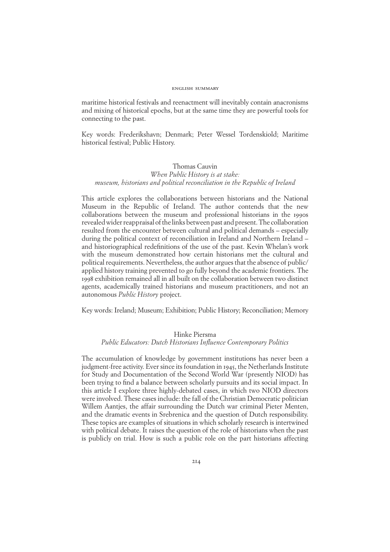maritime historical festivals and reenactment will inevitably contain anacronisms and mixing of historical epochs, but at the same time they are powerful tools for connecting to the past.

Key words: Frederikshavn; Denmark; Peter Wessel Tordenskiold; Maritime historical festival; Public History.

## Thomas Cauvin

## *When Public History is at stake: museum, historians and political reconciliation in the Republic of Ireland*

This article explores the collaborations between historians and the National Museum in the Republic of Ireland. The author contends that the new collaborations between the museum and professional historians in the 1990s revealed wider reappraisal of the links between past and present. The collaboration resulted from the encounter between cultural and political demands – especially during the political context of reconciliation in Ireland and Northern Ireland – and historiographical redefinitions of the use of the past. Kevin Whelan's work with the museum demonstrated how certain historians met the cultural and political requirements. Nevertheless, the author argues that the absence of public/ applied history training prevented to go fully beyond the academic frontiers. The 1998 exhibition remained all in all built on the collaboration between two distinct agents, academically trained historians and museum practitioners, and not an autonomous *Public History* project.

Key words: Ireland; Museum; Exhibition; Public History; Reconciliation; Memory

### Hinke Piersma

### *Public Educators: Dutch Historians Influence Contemporary Politics*

The accumulation of knowledge by government institutions has never been a judgment-free activity. Ever since its foundation in 1945, the Netherlands Institute for Study and Documentation of the Second World War (presently NIOD) has been trying to find a balance between scholarly pursuits and its social impact. In this article I explore three highly-debated cases, in which two NIOD directors were involved. These cases include: the fall of the Christian Democratic politician Willem Aantjes, the affair surrounding the Dutch war criminal Pieter Menten, and the dramatic events in Srebrenica and the question of Dutch responsibility. These topics are examples of situations in which scholarly research is intertwined with political debate. It raises the question of the role of historians when the past is publicly on trial. How is such a public role on the part historians affecting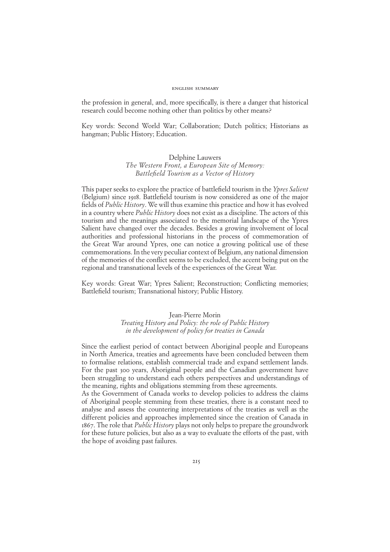the profession in general, and, more specifically, is there a danger that historical research could become nothing other than politics by other means?

Key words: Second World War; Collaboration; Dutch politics; Historians as hangman; Public History; Education.

> Delphine Lauwers *The Western Front, a European Site of Memory: Battlefield Tourism as a Vector of History*

This paper seeks to explore the practice of battlefield tourism in the *Ypres Salient*  (Belgium) since 1918. Battlefield tourism is now considered as one of the major fields of *Public History*. We will thus examine this practice and how it has evolved in a country where *Public History* does not exist as a discipline. The actors of this tourism and the meanings associated to the memorial landscape of the Ypres Salient have changed over the decades. Besides a growing involvement of local authorities and professional historians in the process of commemoration of the Great War around Ypres, one can notice a growing political use of these commemorations. In the very peculiar context of Belgium, any national dimension of the memories of the conflict seems to be excluded, the accent being put on the regional and transnational levels of the experiences of the Great War.

Key words: Great War; Ypres Salient; Reconstruction; Conflicting memories; Battlefield tourism; Transnational history; Public History.

> Jean-Pierre Morin *Treating History and Policy: the role of Public History in the development of policy for treaties in Canada*

Since the earliest period of contact between Aboriginal people and Europeans in North America, treaties and agreements have been concluded between them to formalise relations, establish commercial trade and expand settlement lands. For the past 300 years, Aboriginal people and the Canadian government have been struggling to understand each others perspectives and understandings of the meaning, rights and obligations stemming from these agreements.

As the Government of Canada works to develop policies to address the claims of Aboriginal people stemming from these treaties, there is a constant need to analyse and assess the countering interpretations of the treaties as well as the different policies and approaches implemented since the creation of Canada in 1867. The role that *Public History* plays not only helps to prepare the groundwork for these future policies, but also as a way to evaluate the efforts of the past, with the hope of avoiding past failures.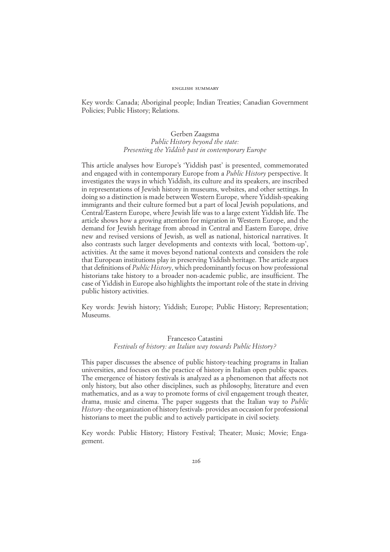Key words: Canada; Aboriginal people; Indian Treaties; Canadian Government Policies; Public History; Relations.

# Gerben Zaagsma *Public History beyond the state: Presenting the Yiddish past in contemporary Europe*

This article analyses how Europe's 'Yiddish past' is presented, commemorated and engaged with in contemporary Europe from a *Public History* perspective. It investigates the ways in which Yiddish, its culture and its speakers, are inscribed in representations of Jewish history in museums, websites, and other settings. In doing so a distinction is made between Western Europe, where Yiddish-speaking immigrants and their culture formed but a part of local Jewish populations, and Central/Eastern Europe, where Jewish life was to a large extent Yiddish life. The article shows how a growing attention for migration in Western Europe, and the demand for Jewish heritage from abroad in Central and Eastern Europe, drive new and revised versions of Jewish, as well as national, historical narratives. It also contrasts such larger developments and contexts with local, 'bottom-up', activities. At the same it moves beyond national contexts and considers the role that European institutions play in preserving Yiddish heritage. The article argues that definitions of *Public History*, which predominantly focus on how professional historians take history to a broader non-academic public, are insufficient. The case of Yiddish in Europe also highlights the important role of the state in driving public history activities.

Key words: Jewish history; Yiddish; Europe; Public History; Representation; Museums.

# Francesco Catastini *Festivals of history: an Italian way towards Public History?*

This paper discusses the absence of public history-teaching programs in Italian universities, and focuses on the practice of history in Italian open public spaces. The emergence of history festivals is analyzed as a phenomenon that affects not only history, but also other disciplines, such as philosophy, literature and even mathematics, and as a way to promote forms of civil engagement trough theater, drama, music and cinema. The paper suggests that the Italian way to *Public History* -the organization of history festivals- provides an occasion for professional historians to meet the public and to actively participate in civil society.

Key words: Public History; History Festival; Theater; Music; Movie; Engagement.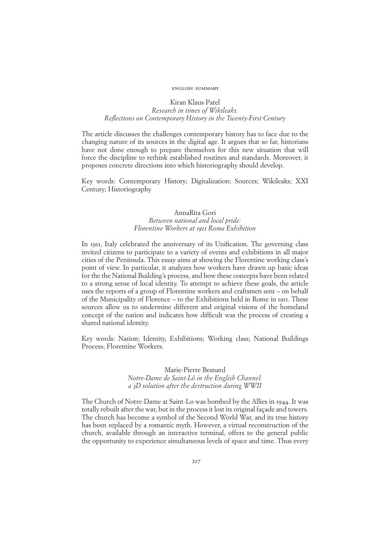## Kiran Klaus Patel *Research in times of Wikileaks. Reflections on Contemporary History in the Twenty-First Century*

The article discusses the challenges contemporary history has to face due to the changing nature of its sources in the digital age. It argues that so far, historians have not done enough to prepare themselves for this new situation that will force the discipline to rethink established routines and standards. Moreover, it proposes concrete directions into which historiography should develop.

Key words: Contemporary History; Digitalization; Sources; Wikileaks; XXI Century; Historiography

# AnnaRita Gori *Between national and local pride: Florentine Workers at 1911 Roma Exhibition*

In 1911, Italy celebrated the anniversary of its Unification. The governing class invited citizens to participate to a variety of events and exhibitions in all major cities of the Peninsula. This essay aims at showing the Florentine working class's point of view. In particular, it analyzes how workers have drawn up basic ideas for the the National Building's process, and how these concepts have been related to a strong sense of local identity. To attempt to achieve these goals, the article uses the reports of a group of Florentine workers and craftsmen sent – on behalf of the Municipality of Florence – to the Exhibitions held in Rome in 1911. These sources allow us to undermine different and original visions of the homeland concept of the nation and indicates how difficult was the process of creating a shared national identity.

Key words: Nation; Identity, Exhibitions; Working class; National Buildings Process; Florentine Workers.

> Marie-Pierre Besnard *Notre-Dame de Saint-Lô in the English Channel: a 3D solution after the destruction during WWII*

The Church of Notre-Dame at Saint-Lo was bombed by the Allies in 1944. It was totally rebuilt after the war, but in the process it lost its original façade and towers. The church has become a symbol of the Second World War, and its true history has been replaced by a romantic myth. However, a virtual reconstruction of the church, available through an interactive terminal, offers to the general public the opportunity to experience simultaneous levels of space and time. Thus every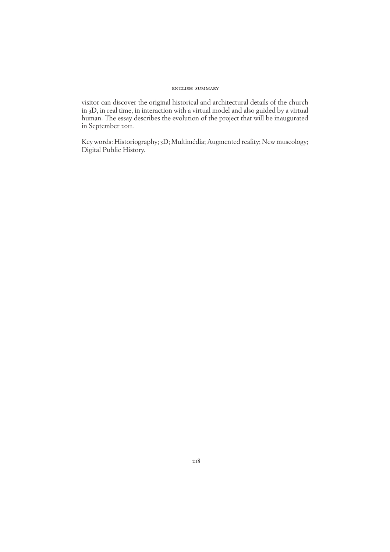visitor can discover the original historical and architectural details of the church in 3D, in real time, in interaction with a virtual model and also guided by a virtual human. The essay describes the evolution of the project that will be inaugurated in September 2011.

Key words: Historiography; 3D; Multimédia; Augmented reality; New museology; Digital Public History.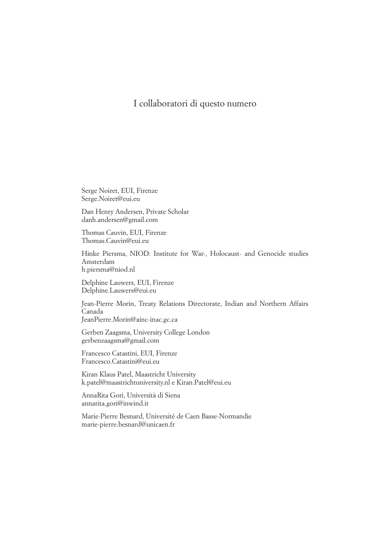# I collaboratori di questo numero

Serge Noiret, EUI, Firenze Serge.Noiret@eui.eu

Dan Henry Andersen, Private Scholar danh.andersen@gmail.com

Thomas Cauvin, EUI, Firenze Thomas.Cauvin@eui.eu

Hinke Piersma, NIOD: Institute for War-, Holocaust- and Genocide studies Amsterdam h.piersma@niod.nl

Delphine Lauwers, EUI, Firenze Delphine.Lauwers@eui.eu

Jean-Pierre Morin, Treaty Relations Directorate, Indian and Northern Affairs Canada JeanPierre.Morin@ainc-inac.gc.ca

Gerben Zaagsma, University College London gerbenzaagsma@gmail.com

Francesco Catastini, EUI, Firenze Francesco.Catastini@eui.eu

Kiran Klaus Patel, Maastricht University k.patel@maastrichtuniversity.nl e Kiran.Patel@eui.eu

AnnaRita Gori, Università di Siena annarita.gori@inwind.it

Marie-Pierre Besnard, Université de Caen Basse-Normandie marie-pierre.besnard@unicaen.fr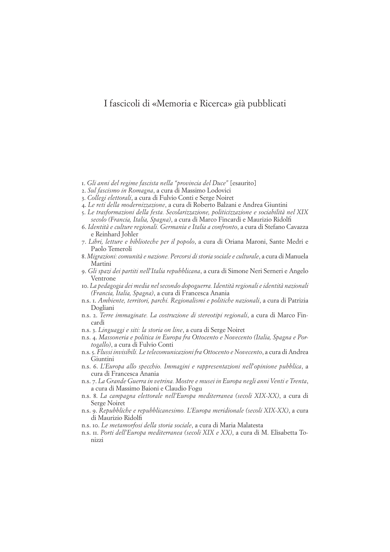# I fascicoli di «Memoria e Ricerca» già pubblicati

- 1. *Gli anni del regime fascista nella "provincia del Duce"* [esaurito]
- 2. *Sul fascismo in Romagna*, a cura di Massimo Lodovici
- 3. *Collegi elettorali*, a cura di Fulvio Conti e Serge Noiret
- 4. *Le reti della modernizzazione*, a cura di Roberto Balzani e Andrea Giuntini
- 5. *Le trasformazioni della festa. Secolarizzazione, politicizzazione e sociabilità nel XIX secolo (Francia, Italia, Spagna)*, a cura di Marco Fincardi e Maurizio Ridolfi
- 6. *Identità e culture regionali. Germania e Italia a confronto*, a cura di Stefano Cavazza e Reinhard Johler
- 7. *Libri, letture e biblioteche per il popolo*, a cura di Oriana Maroni, Sante Medri e Paolo Temeroli
- 8. *Migrazioni: comunità e nazione. Percorsi di storia sociale e culturale*, a cura di Manuela Martini
- 9. *Gli spazi dei partiti nell'Italia repubblicana*, a cura di Simone Neri Serneri e Angelo Ventrone
- 10. *La pedagogia dei media nel secondo dopoguerra. Identità regionali e identità nazionali (Francia, Italia, Spagna)*, a cura di Francesca Anania
- n.s. 1. *Ambiente, territori, parchi. Regionalismi e politiche nazionali*, a cura di Patrizia Dogliani
- n.s. 2. *Terre immaginate. La costruzione di stereotipi regionali*, a cura di Marco Fincardi
- n.s. 3. *Linguaggi e siti: la storia on line*, a cura di Serge Noiret
- n.s. 4. *Massoneria e politica in Europa fra Ottocento e Novecento (Italia, Spagna e Portogallo)*, a cura di Fulvio Conti
- n.s. 5. *Flussi invisibili. Le telecomunicazioni fra Ottocento e Novecento*, a cura di Andrea Giuntini
- n.s. 6. *L'Europa allo specchio. Immagini e rappresentazioni nell'opinione pubblica*, a cura di Francesca Anania
- n.s. 7. *La Grande Guerra in vetrina. Mostre e musei in Europa negli anni Venti e Trenta*, a cura di Massimo Baioni e Claudio Fogu
- n.s. 8. *La campagna elettorale nell'Europa mediterranea (secoli XIX-XX)*, a cura di Serge Noiret
- n.s. 9. *Repubbliche e repubblicanesimo. L'Europa meridionale (secoli XIX-XX)*, a cura di Maurizio Ridolfi
- n.s. 10. *Le metamorfosi della storia sociale*, a cura di Maria Malatesta
- n.s. 11. *Porti dell'Europa mediterranea (secoli XIX e XX)*, a cura di M. Elisabetta Tonizzi